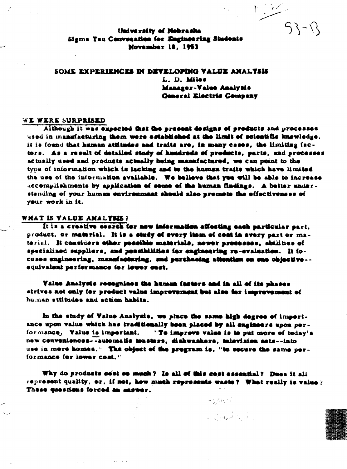$53 - 12$ 

University of Nebrasha Sigma Tau Conveçation for Engineering Students November 18, 1953

# SOME EXPERIENCES IN DEVELOPING VALUE ANALTSIS L. D. Miles Manager-Value Analysis **General Electric Cempany**

### WE WERE SURPRISED

Although it was expected that the present designs of products and processes used in manufacturing them were established at the limit of scientific knowledge, it is found that human attitudes and traits are, in many cases, the limiting factors. As a result of detailed study of hundreds of products, parts, and processes actually used and products actually being manufactured, we can point to the type of information which is lacking and to the human traits which have limited the use of the information available. We believe that you will be able to increase accomplishments by application of seme of the human findings. A better understanding of your human environment should also promote the effectiveness of your work in it.

# WHAT IS VALUE ANALTSIS?

It is a creative search for new information affecting each particular part, product, or material. It is a study of every item of cost in every part or material. It considers other possible materials, newer precesses, abilities of specialized suppliers, and pessibilities for engineering re-evaluation. It focuses engineering, manufacturing, and purchasing attention on cae objective -equivalent performance for lewer cest.

Value Analysis recognines the human incters and in all of its phases strives not only for product value improvement but also for improvement of human stiitudes and action habits.

In the study of Value Analysis, we place the same high degree of impertance upon value which has traditionally been placed by all engineers upon performance. Value is important. "To improve value is to put more of today's new conveniences--automatic teasters, dishwashers, television sets--into use in more homes." The object of the program is, "to secure the same performance for lower cost."

Why do products cost so much? Is all of this cost essential? Does it all represent quality, or, if not, how much represents waste? What really is value? These questions forced an answer.

 $-\frac{1}{2} \int \mathcal{R}(\tau) \, d\tau$ 

Le Creat Lan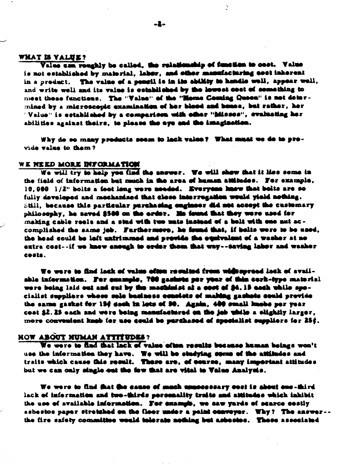## WHAT IS VALUE?

Value can roughly be called, the relationship of function to seet. Value is not established by material, labor, and other manufacturing cost inherent in a preduct. The value of a pengil is in its ability to handle well, appear well, and write well and its value is established by the lowest cest of semething to meet these functions. The "Value" of the "Home Coming Queen" is not determined by a microscopic examination of her blood and bones, but rather, her "Value" is established by a comparison with other "hilsses", evaluating her abilities against theirs, to please the eye and the imagination.

Why do so many products seem to lack value? What must we do to provide value to them?

### WE NEED MORE INFORMATION

We will try to help you find the answer. We will show that it lies some in the field of information but much in the area of human attitudes. For example, 10,000 1/2" bolts a foot long were needed. Everyone knew that bolts are so fully developed and mechanized that close interregation would yield nothing. Still, because this particular purchasing engineer did not accept the customary philosophy, he saved \$500 on the erder. Me found that they were used for making cable recis and a stud with two muts instead of a bolt with one nut accomplished the same job. Furthermore, he found that, if belts were to be used, the head could be left untrimmed and provide the equivalent of a washer at no extre cost--if we knew enough to order them that way--saving labor and washer costs.

We were to find lack of value often resulted from widespread lack of available information. For example, 700 gashsts per your of thin cerk-type material were being laid out and out by the machinist at a cost of \$4.15 each while spocialist suppliers whose sole basiness consists of making gashets could provide the same gasket for 154 dash in lots of 50. Again, 400 small knobs per year coat \$2.25 each and were being manufactured on the job while a olightly larger. mere convenient kash for use sould be purchased of specialist suppliers for 25¢.

# HOW ABOUT NUMAN ATTITUDES?

We were to find that lack of value often results because human beings won't use the information they have. We will be studying seems of the attitudes and traits which cause this result. There are, of course, many important attitudes but we can only single ent the few that are vital to Value Analysis.

We were to find that the cause of much unnecessary cost is about one-third lack of information and two-thirds personality traits and attitudes which inhibit the use of available information. For example, we saw yards of scarce costly asbestos paper stretched on the floor under a paint conveyor. Why? The answer-the fire safety committee would tolerate nothing but asbestos. These associated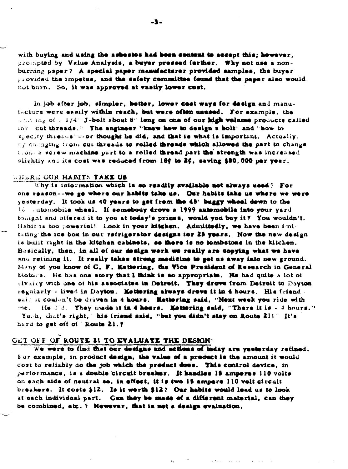with buying and using the asbestos had been content to accept this; however. prompted by Value Analysis, a buyer pressed further. Why not use a nonburning paper? A special paper manufacturer provided samples, the buyer provided the impetus, and the safety committee found that the paper also would not burn. So, it was approved at vastly lower cost.

In job after job, simpler, better, lower cost ways for design and manufacture were easily within reach, but were often unused. For example, the mentioned of a 1/4" J-bolt about 8" long on one of our high velame products called for cut threads." The engineer "know how to design a bolt" and "bow to specify threads"--or thought he did, and that is what is important. Actually, of changing from cut threads to rolled threads which allowed the part to change itions a screw machine part to a rolled thread part the strength was increased slightly and its cost was reduced from 10¢ to 2¢, saving \$80,000 per year.

### WHERE OUR HABITS TAKE US

Why is information which is so readily available not always used? For one reason--we ge where our habits take us. Our habits take us where we were yesterday. It took us 40 years to get from the 48" buggy wheel dewn to the 16 sutomobile wheel. If somebody drove a 1999 automobile into your yard tonight and offered it to you at today's prices, would you buy it? You wouldn't. Habit is too powerful! Look in your kitchen. Admittedly, we have been imitating the ice box in our refrigerator designs for 25 years. Now the new design is built right in the kitchen cabinets, so there is no tombstone in the kitchen. Basically, then, in all of our design werk we really are copying what we have and refining it. It really takes strong medicine to get us away into new ground. Many of you know of C. F. Mettering, the Vice President of Research in General Motors. He has one story that I think is so appropriate. He had quite a lot of rivairy with one of his associates in Detroit. They drove from Detroit to Dayton regularly - lived in Dayton. Kettering always drove it in 4 hours. His friend. said it coulan't be driven in 4 hours. Kettering said, "Next week you ride with me. He did. They made it in 4 hears. Mettering said, "There it is - 4 hours." Yeah, that's right," his friend said, "but you didn't stay on Route 21!" It's hard to get off of ' Koute 21.?

### GET OFF OF ROUTE 21 TO EVALUATE THE DESIGN"

We were to find that our designs and actions of today are yesterday refined. For example, in product design, the value of a preduct is the amount it would cost to reliably do the job which the product does. This control device, in performance, is a double circuit breaker. It handles 15 amperes 110 volts on each side of neutral so, in effect, it is two 15 ampere 110 volt circuit breakers. It costs \$12. Is it worth \$12? Our habits would lead us to look at each individual part. Can they be made of a different material, can they be combined, etc. ? Hewever, that is not a design evaluation.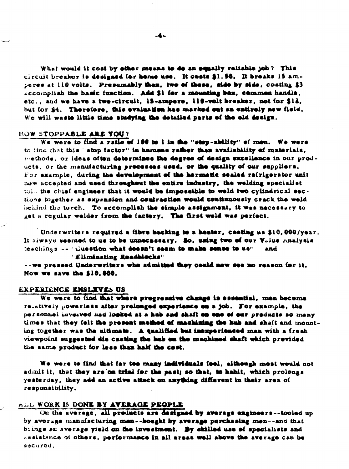What would it cost by other means to do an equally reliable job? This circuit breaker is designed (or home use. It cests \$1.50. It breaks 15 amperes at 110 volts. Presumably then, two of these, side by side, costing \$3 accomplish the basic function. Add \$1 for a mounting bex, commen handle, etc., and we have a two-circuit, 15-ampere, 110-volt breaker, not for \$12, but for \$4. Therefore, this evaluation has marked out an entirely new field. We will waste little time studying the detailed parts of the old design.

#### HOW STOPPABLE ARE YOU?

We were to find a ratio of 190 to 1 in the "stop-ability" of men. We were to find that this "stop factor" in humans rather than availability of materials, methods, or ideas often determines the degree of design excellence in our products, or the manufacturing precesses used, or the quality of our suppliers. For example, during the development of the hermetic sealed refrigerator unit now accepted and used throughout the entire industry, the welding specialist tola the chief engineer that it would be impossible to weld two cylindrical sections together as expansion and contraction would continuously crack the weld behind the torch. To accomplish the simple assignment, it was necessary to get a regular welder from the factory. The first weld was perfect.

Underwriters required a fibre backing to a heater, cesting as \$10,000/year. It always seemed to us to be unnecessary. So, using two of our Value Analysis teachings -- "Question what doesn't seem to make sense to us" and

"Eliminating Readblecks"

--we pressed Underwriters who admitted they could now see no reason for it. Now we save the \$10,000.

### EXPERIENCE ENSLIVES US

We were to find that where progressive change is essential, men become relatively powerless after prolonged experience on a job. For example, the personnel inverved had looked at a hab and shaft on one of our preducts so many times that they felt the present method of machining the hub and shaft and mounting together was the ultimate. A qualified but inexperienced man with a fresh viewpoint suggested die casting the hub on the machined shaft which previded the same product for less than half the cost.

We were to find that far too many individuals feel, although most would not admit it, that they are on trial for the past; so that, to habit, which prolongs yesterday, they add an active attack on anything different in their area of responsibility.

### ALL WORK IS DONE BY AVERAGE PEOPLE

On the average, all preducts are designed by average engineers--tooled up by average manufacturing men--bought by average purchasing men--and that brings an average yield on the investment. By skilled use of specialists and ssaistance of others, performance in all areas well above the average can be secured.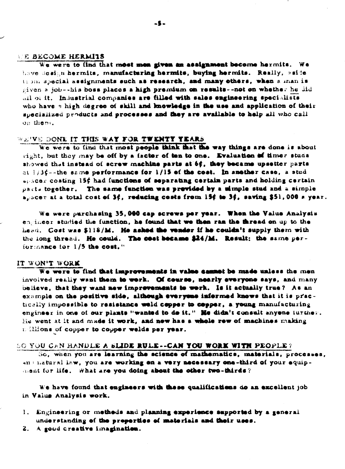### **WE BECOME HERMITS**

We were to find that most men given an assignment become hermits. We have design hermits, manufacturing hermits, buying hermits. Really, aside thom special assignments such as research, and many others, when a man is given a job--his boss places a high premium on results--not on whether he did all of it. Industrial companies are filled with sales engineering specialists who have a high degree of skill and knowledge in the use and application of their specialized products and processes and they are available to help all who call on them.

### WE'VE DONE IT THIS WAY FOR TWENTY YEARS

We were to find that most people think that the way things are done is about eight, but they may be off by a factor of ten to one. Evaluation of timer stude showed that instead of screw machine parts at 6¢, they became upsetter parts at  $1/3$  $\zeta$ --the same performance for  $1/15$  of the cost. In another case, a stud episcer costing 15¢ had functions of separating certain parts and holding certain pacts together. The same function was previded by a simple stud and a simple  $\mu_{\nu}$ scer at a total cost of 3 $\phi$ , reducing costs from 15 $\phi$  to 3 $\phi$ , saving \$51,000 s year.

We were purchasing 35,000 cap screws per year. When the Value Analysis engineer studied the function, he found that we then ran the thread on up to the head. Cost was \$118/M. He asked the vender if he couldn't supply them with the long thread. He could. The cost became \$24/M. Result: the same performance for 1/5 the cost."

#### IT WON'T WORK

We were to find that improvements in value cannot be made unless the men involved really want them to werk. Of course, nearly everyone says, and many believe, that they want new improvements to work. Is it actually true? As an example on the positive side, although everyone informed knows that it is practically impossible to resistance weld copper to copper, a young manufacturing engineer in one of our plants "wanted to do it." He didn't consult anyone iurther. He went at it and made it work, and new has a whole rew of machines making millions of copper to copper welds per year.

### **SO YOU CAN HANDLE A SLIDE RULE--CAN YOU WORK WITH PEOPLE?**

So, when you are learning the science of mathematics, materials, processes, an : natural law, you are working on a very necessary one-third of your equipment for life. What are you doing about the other two-thirds?

We have found that engineers with these qualifications do an excellent job in Value Analysis work.

- 1. Engineering or methods and planning experience supported by a general understanding of the preperties of materials and their uses.
- 2. A good creative imagination.